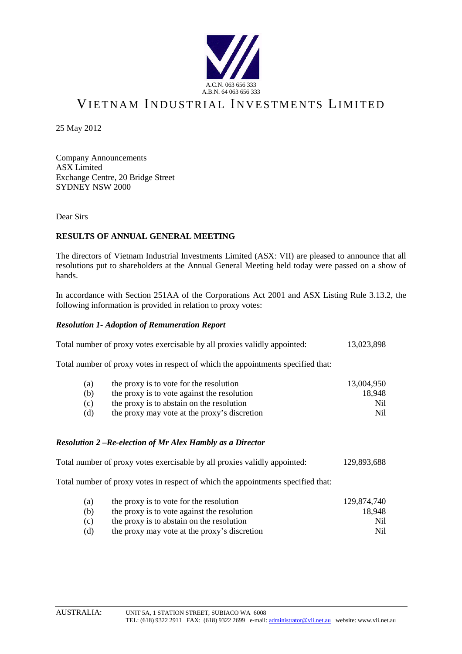

# VIETNAM INDUSTRIAL INVESTMENTS LIMITED

25 May 2012

Company Announcements ASX Limited Exchange Centre, 20 Bridge Street SYDNEY NSW 2000

Dear Sirs

### **RESULTS OF ANNUAL GENERAL MEETING**

The directors of Vietnam Industrial Investments Limited (ASX: VII) are pleased to announce that all resolutions put to shareholders at the Annual General Meeting held today were passed on a show of hands.

In accordance with Section 251AA of the Corporations Act 2001 and ASX Listing Rule 3.13.2, the following information is provided in relation to proxy votes:

#### *Resolution 1- Adoption of Remuneration Report*

| Total number of proxy votes exercisable by all proxies validly appointed: |  | 13,023,898 |
|---------------------------------------------------------------------------|--|------------|
|                                                                           |  |            |

Total number of proxy votes in respect of which the appointments specified that:

| (a) | the proxy is to vote for the resolution      | 13.004.950 |
|-----|----------------------------------------------|------------|
| (b) | the proxy is to vote against the resolution  | 18.948     |
| (c) | the proxy is to abstain on the resolution    | Ni1        |
| (d) | the proxy may vote at the proxy's discretion | Nil.       |

#### *Resolution 2 –Re-election of Mr Alex Hambly as a Director*

| Total number of proxy votes exercisable by all proxies validly appointed: |  | 129,893,688 |
|---------------------------------------------------------------------------|--|-------------|
|                                                                           |  |             |

Total number of proxy votes in respect of which the appointments specified that:

| (a) | the proxy is to vote for the resolution      | 129.874.740 |
|-----|----------------------------------------------|-------------|
| (b) | the proxy is to vote against the resolution  | 18.948      |
| (c) | the proxy is to abstain on the resolution    | Nil.        |
| (d) | the proxy may vote at the proxy's discretion | Nil.        |